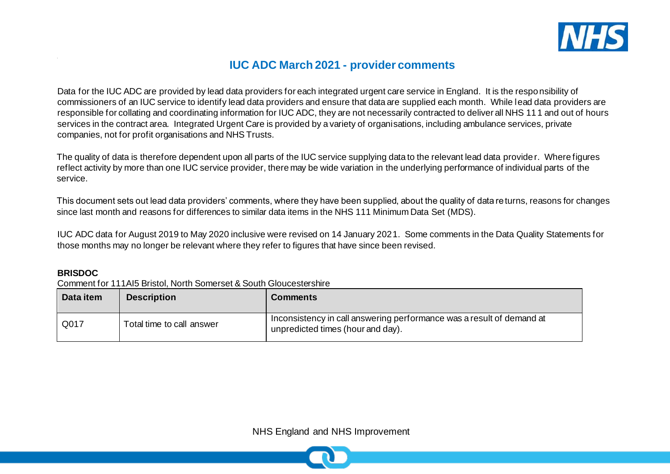

## **IUC ADC March 2021 - provider comments**

Data for the IUC ADC are provided by lead data providers for each integrated urgent care service in England. It is the responsibility of commissioners of an IUC service to identify lead data providers and ensure that data are supplied each month. While lead data providers are responsible for collating and coordinating information for IUC ADC, they are not necessarily contracted to deliver all NHS 111 and out of hours services in the contract area. Integrated Urgent Care is provided by a variety of organisations, including ambulance services, private companies, not for profit organisations and NHS Trusts.

The quality of data is therefore dependent upon all parts of the IUC service supplying data to the relevant lead data provider. Where figures reflect activity by more than one IUC service provider, there may be wide variation in the underlying performance of individual parts of the service.

This document sets out lead data providers' comments, where they have been supplied, about the quality of data returns, reasons for changes since last month and reasons for differences to similar data items in the NHS 111 Minimum Data Set (MDS).

IUC ADC data for August 2019 to May 2020 inclusive were revised on 14 January 2021. Some comments in the Data Quality Statements for those months may no longer be relevant where they refer to figures that have since been revised.

#### **BRISDOC**

Comment for 111AI5 Bristol, North Somerset & South Gloucestershire

| Data item | <b>Description</b>        | <b>Comments</b>                                                                                            |
|-----------|---------------------------|------------------------------------------------------------------------------------------------------------|
| Q017      | Total time to call answer | Inconsistency in call answering performance was a result of demand at<br>unpredicted times (hour and day). |

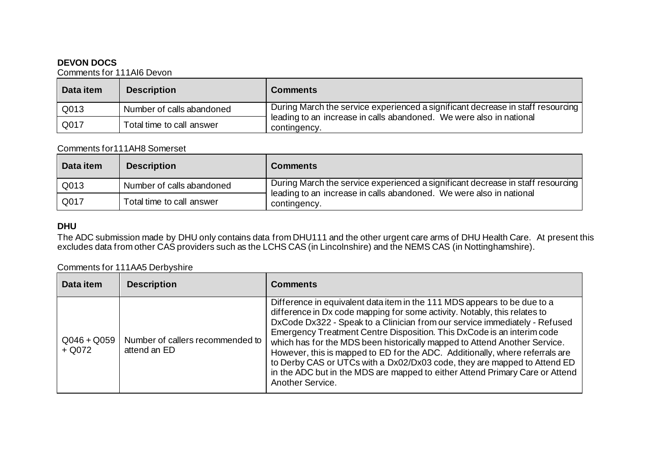#### **DEVON DOCS**

Comments for 111AI6 Devon

| Data item | <b>Description</b>        | <b>Comments</b>                                                                     |
|-----------|---------------------------|-------------------------------------------------------------------------------------|
| Q013      | Number of calls abandoned | During March the service experienced a significant decrease in staff resourcing     |
| Q017      | Total time to call answer | leading to an increase in calls abandoned. We were also in national<br>contingency. |

#### Comments for111AH8 Somerset

| Data item | <b>Description</b>        | <b>Comments</b>                                                                     |
|-----------|---------------------------|-------------------------------------------------------------------------------------|
| Q013      | Number of calls abandoned | During March the service experienced a significant decrease in staff resourcing     |
| Q017      | Total time to call answer | leading to an increase in calls abandoned. We were also in national<br>contingency. |

#### **DHU**

The ADC submission made by DHU only contains data from DHU111 and the other urgent care arms of DHU Health Care. At present this excludes data from other CAS providers such as the LCHS CAS (in Lincolnshire) and the NEMS CAS (in Nottinghamshire).

#### Comments for 111AA5 Derbyshire

| Data item                 | <b>Description</b>                               | <b>Comments</b>                                                                                                                                                                                                                                                                                                                                                                                                                                                                                                                                                                                                                                            |
|---------------------------|--------------------------------------------------|------------------------------------------------------------------------------------------------------------------------------------------------------------------------------------------------------------------------------------------------------------------------------------------------------------------------------------------------------------------------------------------------------------------------------------------------------------------------------------------------------------------------------------------------------------------------------------------------------------------------------------------------------------|
| $Q046 + Q059$<br>$+$ Q072 | Number of callers recommended to<br>attend an ED | Difference in equivalent data item in the 111 MDS appears to be due to a<br>difference in Dx code mapping for some activity. Notably, this relates to<br>DxCode Dx322 - Speak to a Clinician from our service immediately - Refused<br>Emergency Treatment Centre Disposition. This DxCode is an interim code<br>which has for the MDS been historically mapped to Attend Another Service.<br>However, this is mapped to ED for the ADC. Additionally, where referrals are<br>to Derby CAS or UTCs with a Dx02/Dx03 code, they are mapped to Attend ED<br>in the ADC but in the MDS are mapped to either Attend Primary Care or Attend<br>Another Service. |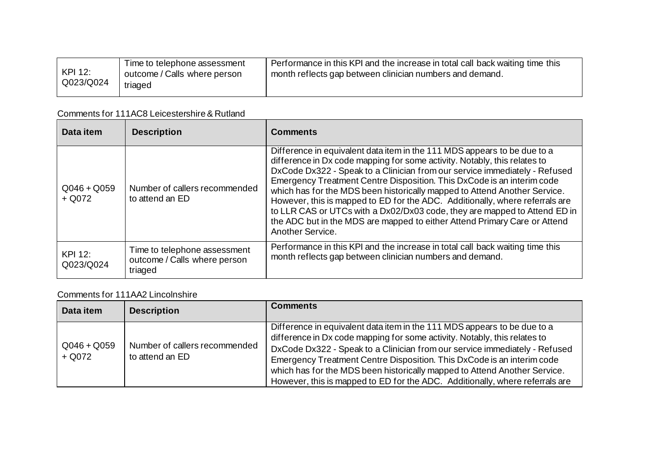|                      | Time to telephone assessment            | Performance in this KPI and the increase in total call back waiting time this |
|----------------------|-----------------------------------------|-------------------------------------------------------------------------------|
| KPI 12:<br>Q023/Q024 | outcome / Calls where person<br>triaged | month reflects gap between clinician numbers and demand.                      |
|                      |                                         |                                                                               |

# Comments for 111AC8 Leicestershire & Rutland

| Data item                 | <b>Description</b>                                                      | <b>Comments</b>                                                                                                                                                                                                                                                                                                                                                                                                                                                                                                                                                                                                                                          |
|---------------------------|-------------------------------------------------------------------------|----------------------------------------------------------------------------------------------------------------------------------------------------------------------------------------------------------------------------------------------------------------------------------------------------------------------------------------------------------------------------------------------------------------------------------------------------------------------------------------------------------------------------------------------------------------------------------------------------------------------------------------------------------|
| $Q046 + Q059$<br>$+$ Q072 | Number of callers recommended<br>to attend an ED                        | Difference in equivalent data item in the 111 MDS appears to be due to a<br>difference in Dx code mapping for some activity. Notably, this relates to<br>DxCode Dx322 - Speak to a Clinician from our service immediately - Refused<br>Emergency Treatment Centre Disposition. This DxCode is an interim code<br>which has for the MDS been historically mapped to Attend Another Service.<br>However, this is mapped to ED for the ADC. Additionally, where referrals are<br>to LLR CAS or UTCs with a Dx02/Dx03 code, they are mapped to Attend ED in<br>the ADC but in the MDS are mapped to either Attend Primary Care or Attend<br>Another Service. |
| KPI 12:<br>Q023/Q024      | Time to telephone assessment<br>outcome / Calls where person<br>triaged | Performance in this KPI and the increase in total call back waiting time this<br>month reflects gap between clinician numbers and demand.                                                                                                                                                                                                                                                                                                                                                                                                                                                                                                                |

#### Comments for 111AA2 Lincolnshire

| Data item               | <b>Description</b>                               | <b>Comments</b>                                                                                                                                                                                                                                                                                                                                                                                                                                                            |
|-------------------------|--------------------------------------------------|----------------------------------------------------------------------------------------------------------------------------------------------------------------------------------------------------------------------------------------------------------------------------------------------------------------------------------------------------------------------------------------------------------------------------------------------------------------------------|
| $Q046 + Q059$<br>+ Q072 | Number of callers recommended<br>to attend an ED | Difference in equivalent data item in the 111 MDS appears to be due to a<br>difference in Dx code mapping for some activity. Notably, this relates to<br>DxCode Dx322 - Speak to a Clinician from our service immediately - Refused<br>Emergency Treatment Centre Disposition. This DxCode is an interim code<br>which has for the MDS been historically mapped to Attend Another Service.<br>However, this is mapped to ED for the ADC. Additionally, where referrals are |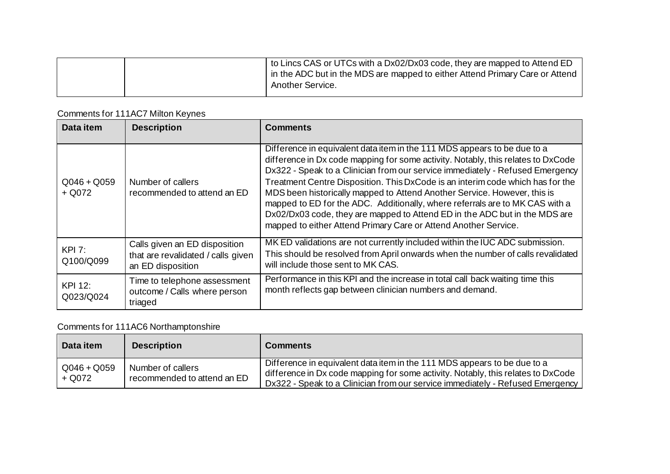|  | $\pm$ to Lincs CAS or UTCs with a Dx02/Dx03 code, they are mapped to Attend ED |
|--|--------------------------------------------------------------------------------|
|  | I in the ADC but in the MDS are mapped to either Attend Primary Care or Attend |
|  | Another Service.                                                               |
|  |                                                                                |

## Comments for 111AC7 Milton Keynes

| Data item                 | <b>Description</b>                                                                       | <b>Comments</b>                                                                                                                                                                                                                                                                                                                                                                                                                                                                                                                                                                                                                              |
|---------------------------|------------------------------------------------------------------------------------------|----------------------------------------------------------------------------------------------------------------------------------------------------------------------------------------------------------------------------------------------------------------------------------------------------------------------------------------------------------------------------------------------------------------------------------------------------------------------------------------------------------------------------------------------------------------------------------------------------------------------------------------------|
| $Q046 + Q059$<br>$+$ Q072 | Number of callers<br>recommended to attend an ED                                         | Difference in equivalent data item in the 111 MDS appears to be due to a<br>difference in Dx code mapping for some activity. Notably, this relates to DxCode<br>Dx322 - Speak to a Clinician from our service immediately - Refused Emergency<br>Treatment Centre Disposition. This DxCode is an interim code which has for the<br>MDS been historically mapped to Attend Another Service. However, this is<br>mapped to ED for the ADC. Additionally, where referrals are to MK CAS with a<br>Dx02/Dx03 code, they are mapped to Attend ED in the ADC but in the MDS are<br>mapped to either Attend Primary Care or Attend Another Service. |
| KPI 7:<br>Q100/Q099       | Calls given an ED disposition<br>that are revalidated / calls given<br>an ED disposition | MK ED validations are not currently included within the IUC ADC submission.<br>This should be resolved from April onwards when the number of calls revalidated<br>will include those sent to MK CAS.                                                                                                                                                                                                                                                                                                                                                                                                                                         |
| KPI 12:<br>Q023/Q024      | Time to telephone assessment<br>outcome / Calls where person<br>triaged                  | Performance in this KPI and the increase in total call back waiting time this<br>month reflects gap between clinician numbers and demand.                                                                                                                                                                                                                                                                                                                                                                                                                                                                                                    |

# Comments for 111AC6 Northamptonshire

| Data item               | <b>Description</b>                               | <b>Comments</b>                                                                                                                                                                                                                               |
|-------------------------|--------------------------------------------------|-----------------------------------------------------------------------------------------------------------------------------------------------------------------------------------------------------------------------------------------------|
| $Q046 + Q059$<br>+ Q072 | Number of callers<br>recommended to attend an ED | Difference in equivalent data item in the 111 MDS appears to be due to a<br>difference in Dx code mapping for some activity. Notably, this relates to DxCode<br>Dx322 - Speak to a Clinician from our service immediately - Refused Emergency |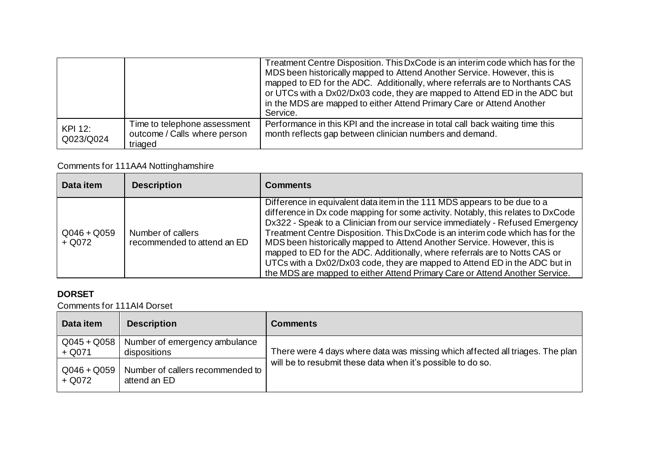|                      |                                                                         | Treatment Centre Disposition. This DxCode is an interim code which has for the<br>MDS been historically mapped to Attend Another Service. However, this is<br>mapped to ED for the ADC. Additionally, where referrals are to Northants CAS<br>or UTCs with a Dx02/Dx03 code, they are mapped to Attend ED in the ADC but<br>in the MDS are mapped to either Attend Primary Care or Attend Another<br>Service. |
|----------------------|-------------------------------------------------------------------------|---------------------------------------------------------------------------------------------------------------------------------------------------------------------------------------------------------------------------------------------------------------------------------------------------------------------------------------------------------------------------------------------------------------|
| KPI 12:<br>Q023/Q024 | Time to telephone assessment<br>outcome / Calls where person<br>triaged | Performance in this KPI and the increase in total call back waiting time this<br>month reflects gap between clinician numbers and demand.                                                                                                                                                                                                                                                                     |

### Comments for 111AA4 Nottinghamshire

| Data item                 | <b>Description</b>                               | <b>Comments</b>                                                                                                                                                                                                                                                                                                                                                                                                                                                                                                                                                                                                                                         |
|---------------------------|--------------------------------------------------|---------------------------------------------------------------------------------------------------------------------------------------------------------------------------------------------------------------------------------------------------------------------------------------------------------------------------------------------------------------------------------------------------------------------------------------------------------------------------------------------------------------------------------------------------------------------------------------------------------------------------------------------------------|
| $Q046 + Q059$<br>$+$ Q072 | Number of callers<br>recommended to attend an ED | Difference in equivalent data item in the 111 MDS appears to be due to a<br>difference in Dx code mapping for some activity. Notably, this relates to DxCode<br>Dx322 - Speak to a Clinician from our service immediately - Refused Emergency<br>Treatment Centre Disposition. This DxCode is an interim code which has for the<br>MDS been historically mapped to Attend Another Service. However, this is<br>mapped to ED for the ADC. Additionally, where referrals are to Notts CAS or<br>UTCs with a Dx02/Dx03 code, they are mapped to Attend ED in the ADC but in<br>the MDS are mapped to either Attend Primary Care or Attend Another Service. |

### **DORSET**

Comments for 111AI4 Dorset

| Data item                 | <b>Description</b>                               | <b>Comments</b>                                                               |
|---------------------------|--------------------------------------------------|-------------------------------------------------------------------------------|
| $Q045 + Q058$<br>$+$ Q071 | Number of emergency ambulance<br>dispositions    | There were 4 days where data was missing which affected all triages. The plan |
| $Q046 + Q059$<br>+ Q072   | Number of callers recommended to<br>attend an ED | will be to resubmit these data when it's possible to do so.                   |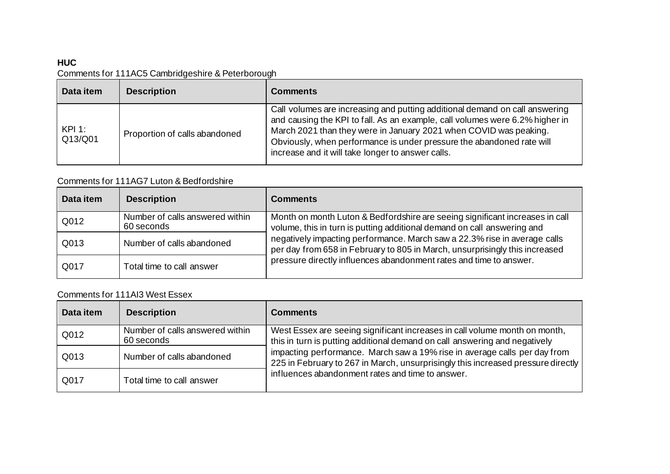### **HUC**

### Comments for 111AC5 Cambridgeshire & Peterborough

| Data item       | <b>Description</b>            | <b>Comments</b>                                                                                                                                                                                                                                                                                                                                                |
|-----------------|-------------------------------|----------------------------------------------------------------------------------------------------------------------------------------------------------------------------------------------------------------------------------------------------------------------------------------------------------------------------------------------------------------|
| KPI:<br>Q13/Q01 | Proportion of calls abandoned | Call volumes are increasing and putting additional demand on call answering<br>and causing the KPI to fall. As an example, call volumes were 6.2% higher in<br>March 2021 than they were in January 2021 when COVID was peaking.<br>Obviously, when performance is under pressure the abandoned rate will<br>increase and it will take longer to answer calls. |

### Comments for 111AG7 Luton & Bedfordshire

| Data item | <b>Description</b>                            | <b>Comments</b>                                                                                                                                                                                                                |
|-----------|-----------------------------------------------|--------------------------------------------------------------------------------------------------------------------------------------------------------------------------------------------------------------------------------|
| Q012      | Number of calls answered within<br>60 seconds | Month on month Luton & Bedfordshire are seeing significant increases in call<br>volume, this in turn is putting additional demand on call answering and                                                                        |
| Q013      | Number of calls abandoned                     | negatively impacting performance. March saw a 22.3% rise in average calls<br>per day from 658 in February to 805 in March, unsurprisingly this increased<br>pressure directly influences abandonment rates and time to answer. |
| Q017      | Total time to call answer                     |                                                                                                                                                                                                                                |

#### Comments for 111AI3 West Essex

| Data item | <b>Description</b>                            | <b>Comments</b>                                                                                                                                                                                                   |
|-----------|-----------------------------------------------|-------------------------------------------------------------------------------------------------------------------------------------------------------------------------------------------------------------------|
| Q012      | Number of calls answered within<br>60 seconds | West Essex are seeing significant increases in call volume month on month,<br>this in turn is putting additional demand on call answering and negatively                                                          |
| Q013      | Number of calls abandoned                     | impacting performance. March saw a 19% rise in average calls per day from<br>225 in February to 267 in March, unsurprisingly this increased pressure directly<br>influences abandonment rates and time to answer. |
| Q017      | Total time to call answer                     |                                                                                                                                                                                                                   |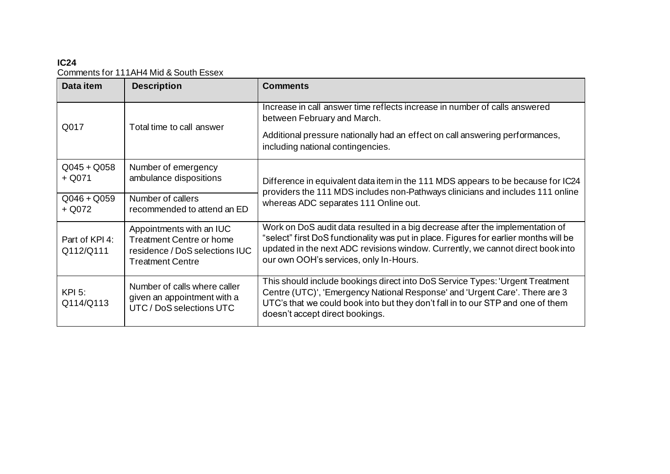### **IC24** Comments for 111AH4 Mid & South Essex

| Data item                   | <b>Description</b>                                                                                                       | <b>Comments</b>                                                                                                                                                                                                                                                                                     |
|-----------------------------|--------------------------------------------------------------------------------------------------------------------------|-----------------------------------------------------------------------------------------------------------------------------------------------------------------------------------------------------------------------------------------------------------------------------------------------------|
| Q017                        | Total time to call answer                                                                                                | Increase in call answer time reflects increase in number of calls answered<br>between February and March.                                                                                                                                                                                           |
|                             |                                                                                                                          | Additional pressure nationally had an effect on call answering performances,<br>including national contingencies.                                                                                                                                                                                   |
| $Q045 + Q058$<br>$+$ Q071   | Number of emergency<br>ambulance dispositions                                                                            | Difference in equivalent data item in the 111 MDS appears to be because for IC24<br>providers the 111 MDS includes non-Pathways clinicians and includes 111 online<br>whereas ADC separates 111 Online out.                                                                                         |
| $Q046 + Q059$<br>$+$ Q072   | Number of callers<br>recommended to attend an ED                                                                         |                                                                                                                                                                                                                                                                                                     |
| Part of KPI 4:<br>Q112/Q111 | Appointments with an IUC<br><b>Treatment Centre or home</b><br>residence / DoS selections IUC<br><b>Treatment Centre</b> | Work on DoS audit data resulted in a big decrease after the implementation of<br>"select" first DoS functionality was put in place. Figures for earlier months will be<br>updated in the next ADC revisions window. Currently, we cannot direct book into<br>our own OOH's services, only In-Hours. |
| <b>KPI 5:</b><br>Q114/Q113  | Number of calls where caller<br>given an appointment with a<br>UTC / DoS selections UTC                                  | This should include bookings direct into DoS Service Types: 'Urgent Treatment<br>Centre (UTC)', 'Emergency National Response' and 'Urgent Care'. There are 3<br>UTC's that we could book into but they don't fall in to our STP and one of them<br>doesn't accept direct bookings.                  |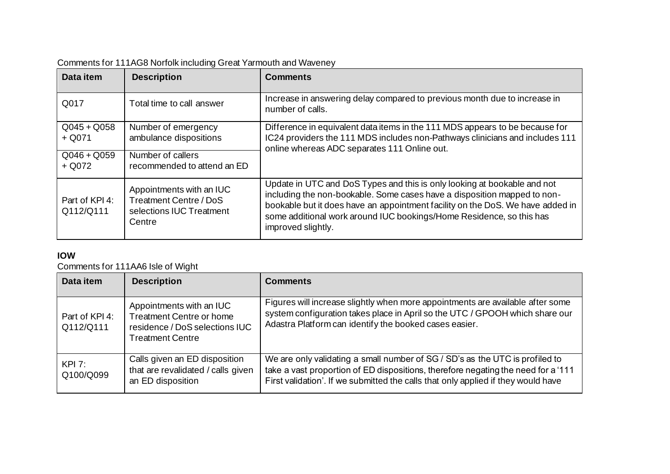| Data item                   | <b>Description</b>                                                                       | <b>Comments</b>                                                                                                                                                                                                                                                                                                                      |
|-----------------------------|------------------------------------------------------------------------------------------|--------------------------------------------------------------------------------------------------------------------------------------------------------------------------------------------------------------------------------------------------------------------------------------------------------------------------------------|
| Q017                        | Total time to call answer                                                                | Increase in answering delay compared to previous month due to increase in<br>number of calls.                                                                                                                                                                                                                                        |
| $Q045 + Q058$<br>$+$ Q071   | Number of emergency<br>ambulance dispositions                                            | Difference in equivalent data items in the 111 MDS appears to be because for<br>IC24 providers the 111 MDS includes non-Pathways clinicians and includes 111<br>online whereas ADC separates 111 Online out.                                                                                                                         |
| $Q046 + Q059$<br>$+$ Q072   | Number of callers<br>recommended to attend an ED                                         |                                                                                                                                                                                                                                                                                                                                      |
| Part of KPI 4:<br>Q112/Q111 | Appointments with an IUC<br>Treatment Centre / DoS<br>selections IUC Treatment<br>Centre | Update in UTC and DoS Types and this is only looking at bookable and not<br>including the non-bookable. Some cases have a disposition mapped to non-<br>bookable but it does have an appointment facility on the DoS. We have added in<br>some additional work around IUC bookings/Home Residence, so this has<br>improved slightly. |

## Comments for 111AG8 Norfolk including Great Yarmouth and Waveney

### **IOW**

Comments for 111AA6 Isle of Wight

| Data item                   | <b>Description</b>                                                                                                       | <b>Comments</b>                                                                                                                                                                                                                                        |
|-----------------------------|--------------------------------------------------------------------------------------------------------------------------|--------------------------------------------------------------------------------------------------------------------------------------------------------------------------------------------------------------------------------------------------------|
| Part of KPI 4:<br>Q112/Q111 | Appointments with an IUC<br><b>Treatment Centre or home</b><br>residence / DoS selections IUC<br><b>Treatment Centre</b> | Figures will increase slightly when more appointments are available after some<br>system configuration takes place in April so the UTC / GPOOH which share our<br>Adastra Platform can identify the booked cases easier.                               |
| KPI 7:<br>Q100/Q099         | Calls given an ED disposition<br>that are revalidated / calls given<br>an ED disposition                                 | We are only validating a small number of SG / SD's as the UTC is profiled to<br>take a vast proportion of ED dispositions, therefore negating the need for a '111<br>First validation'. If we submitted the calls that only applied if they would have |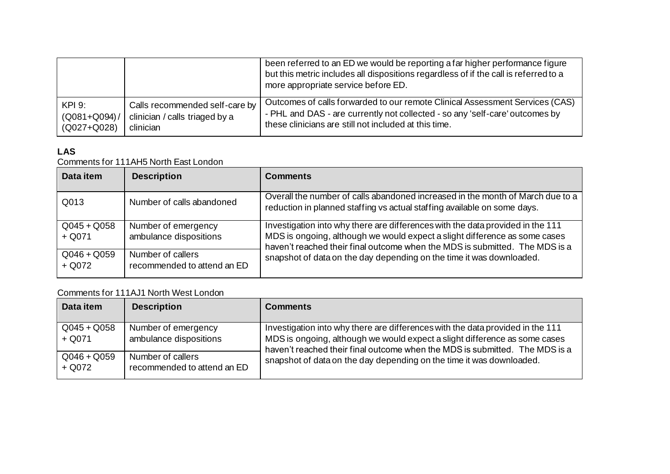|                   |                                | been referred to an ED we would be reporting a far higher performance figure<br>but this metric includes all dispositions regardless of if the call is referred to a<br>more appropriate service before ED. |
|-------------------|--------------------------------|-------------------------------------------------------------------------------------------------------------------------------------------------------------------------------------------------------------|
| $KPI$ 9:          | Calls recommended self-care by | Outcomes of calls forwarded to our remote Clinical Assessment Services (CAS)                                                                                                                                |
| $(Q081 + Q094) /$ | clinician / calls triaged by a | - PHL and DAS - are currently not collected - so any 'self-care' outcomes by                                                                                                                                |
| (Q027+Q028)       | clinician                      | these clinicians are still not included at this time.                                                                                                                                                       |

### **LAS**

#### Comments for 111AH5 North East London

| Data item                 | <b>Description</b>                               | <b>Comments</b>                                                                                                                                                                                                                             |
|---------------------------|--------------------------------------------------|---------------------------------------------------------------------------------------------------------------------------------------------------------------------------------------------------------------------------------------------|
| Q013                      | Number of calls abandoned                        | Overall the number of calls abandoned increased in the month of March due to a<br>reduction in planned staffing vs actual staffing available on some days.                                                                                  |
| $Q045 + Q058$<br>$+$ Q071 | Number of emergency<br>ambulance dispositions    | Investigation into why there are differences with the data provided in the 111<br>MDS is ongoing, although we would expect a slight difference as some cases<br>haven't reached their final outcome when the MDS is submitted. The MDS is a |
| $Q046 + Q059$<br>$+$ Q072 | Number of callers<br>recommended to attend an ED | snapshot of data on the day depending on the time it was downloaded.                                                                                                                                                                        |

### Comments for 111AJ1 North West London

| Data item                 | <b>Description</b>                               | <b>Comments</b>                                                                                                                                                                                                                                                                                                     |
|---------------------------|--------------------------------------------------|---------------------------------------------------------------------------------------------------------------------------------------------------------------------------------------------------------------------------------------------------------------------------------------------------------------------|
| $Q045 + Q058$<br>$+$ Q071 | Number of emergency<br>ambulance dispositions    | Investigation into why there are differences with the data provided in the 111<br>MDS is ongoing, although we would expect a slight difference as some cases<br>haven't reached their final outcome when the MDS is submitted. The MDS is a<br>snapshot of data on the day depending on the time it was downloaded. |
| $Q046 + Q059$<br>$+$ Q072 | Number of callers<br>recommended to attend an ED |                                                                                                                                                                                                                                                                                                                     |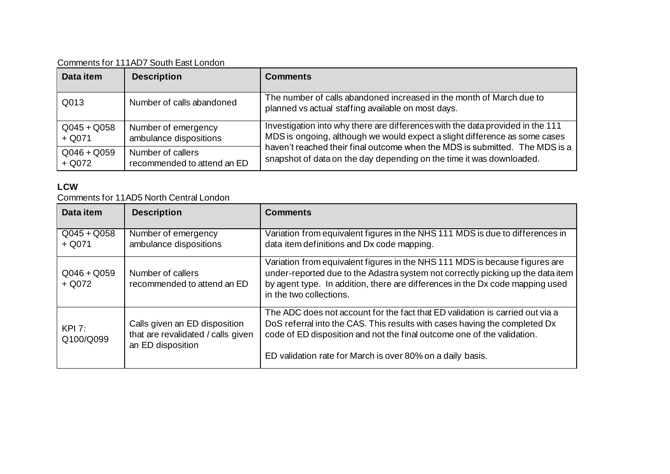Comments for 111AD7 South East London

| Data item                 | <b>Description</b>                               | <b>Comments</b>                                                                                                                                                                                                                                                                                                     |
|---------------------------|--------------------------------------------------|---------------------------------------------------------------------------------------------------------------------------------------------------------------------------------------------------------------------------------------------------------------------------------------------------------------------|
| Q013                      | Number of calls abandoned                        | The number of calls abandoned increased in the month of March due to<br>planned vs actual staffing available on most days.                                                                                                                                                                                          |
| $Q045 + Q058$<br>$+$ Q071 | Number of emergency<br>ambulance dispositions    | Investigation into why there are differences with the data provided in the 111<br>MDS is ongoing, although we would expect a slight difference as some cases<br>haven't reached their final outcome when the MDS is submitted. The MDS is a<br>snapshot of data on the day depending on the time it was downloaded. |
| $Q046 + Q059$<br>$+$ Q072 | Number of callers<br>recommended to attend an ED |                                                                                                                                                                                                                                                                                                                     |

#### **LCW**

Comments for 11AD5 North Central London

| Data item                 | <b>Description</b>                                                                       | <b>Comments</b>                                                                                                                                                                                                                                                                                      |
|---------------------------|------------------------------------------------------------------------------------------|------------------------------------------------------------------------------------------------------------------------------------------------------------------------------------------------------------------------------------------------------------------------------------------------------|
| $Q045 + Q058$<br>$+$ Q071 | Number of emergency<br>ambulance dispositions                                            | Variation from equivalent figures in the NHS 111 MDS is due to differences in<br>data item definitions and Dx code mapping.                                                                                                                                                                          |
| $Q046 + Q059$<br>$+$ Q072 | Number of callers<br>recommended to attend an ED                                         | Variation from equivalent figures in the NHS 111 MDS is because figures are<br>under-reported due to the Adastra system not correctly picking up the data item<br>by agent type. In addition, there are differences in the Dx code mapping used<br>in the two collections.                           |
| KPI 7:<br>Q100/Q099       | Calls given an ED disposition<br>that are revalidated / calls given<br>an ED disposition | The ADC does not account for the fact that ED validation is carried out via a<br>DoS referral into the CAS. This results with cases having the completed Dx<br>code of ED disposition and not the final outcome one of the validation.<br>ED validation rate for March is over 80% on a daily basis. |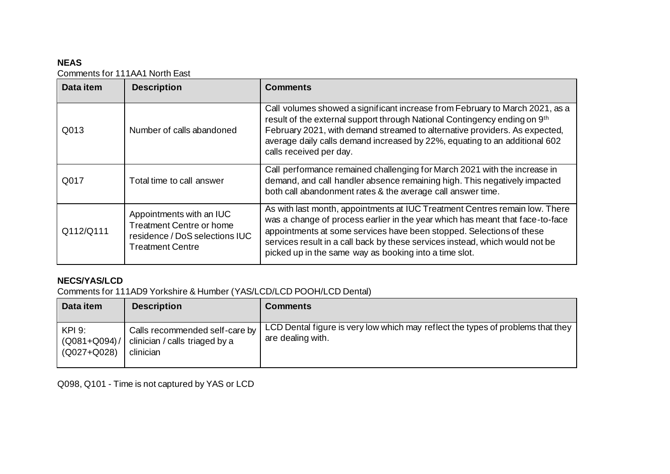### **NEAS**

Comments for 111AA1 North East

| Data item | <b>Description</b>                                                                                                       | <b>Comments</b>                                                                                                                                                                                                                                                                                                                                                                |
|-----------|--------------------------------------------------------------------------------------------------------------------------|--------------------------------------------------------------------------------------------------------------------------------------------------------------------------------------------------------------------------------------------------------------------------------------------------------------------------------------------------------------------------------|
| Q013      | Number of calls abandoned                                                                                                | Call volumes showed a significant increase from February to March 2021, as a<br>result of the external support through National Contingency ending on 9th<br>February 2021, with demand streamed to alternative providers. As expected,<br>average daily calls demand increased by 22%, equating to an additional 602<br>calls received per day.                               |
| Q017      | Total time to call answer                                                                                                | Call performance remained challenging for March 2021 with the increase in<br>demand, and call handler absence remaining high. This negatively impacted<br>both call abandonment rates & the average call answer time.                                                                                                                                                          |
| Q112/Q111 | Appointments with an IUC<br><b>Treatment Centre or home</b><br>residence / DoS selections IUC<br><b>Treatment Centre</b> | As with last month, appointments at IUC Treatment Centres remain low. There<br>was a change of process earlier in the year which has meant that face-to-face<br>appointments at some services have been stopped. Selections of these<br>services result in a call back by these services instead, which would not be<br>picked up in the same way as booking into a time slot. |

### **NECS/YAS/LCD**

Comments for 111AD9 Yorkshire & Humber (YAS/LCD/LCD POOH/LCD Dental)

| Data item                                  | <b>Description</b>                                                            | <b>Comments</b>                                                                                      |
|--------------------------------------------|-------------------------------------------------------------------------------|------------------------------------------------------------------------------------------------------|
| KPI 9:<br>$(Q081 + Q094) /$<br>(Q027+Q028) | Calls recommended self-care by<br>clinician / calls triaged by a<br>clinician | LCD Dental figure is very low which may reflect the types of problems that they<br>are dealing with. |

Q098, Q101 - Time is not captured by YAS or LCD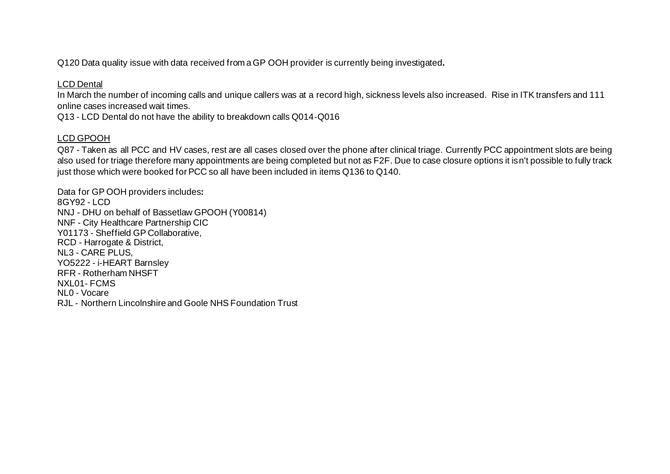Q120 Data quality issue with data received from a GP OOH provider is currently being investigated**.** 

#### LCD Dental

In March the number of incoming calls and unique callers was at a record high, sickness levels also increased. Rise in ITK transfers and 111 online cases increased wait times.

Q13 - LCD Dental do not have the ability to breakdown calls Q014-Q016

#### LCD GPOOH

Q87 - Taken as all PCC and HV cases, rest are all cases closed over the phone after clinical triage. Currently PCC appointment slots are being also used for triage therefore many appointments are being completed but not as F2F. Due to case closure options it isn't possible to fully track just those which were booked for PCC so all have been included in items Q136 to Q140.

Data for GP OOH providers includes**:** 8GY92 - LCD NNJ - DHU on behalf of Bassetlaw GPOOH (Y00814) NNF - City Healthcare Partnership CIC Y01173 - Sheffield GP Collaborative, RCD - Harrogate & District, NL3 - CARE PLUS, YO5222 - i-HEART Barnsley RFR - Rotherham NHSFT NXL01- FCMS NL0 - Vocare RJL - Northern Lincolnshire and Goole NHS Foundation Trust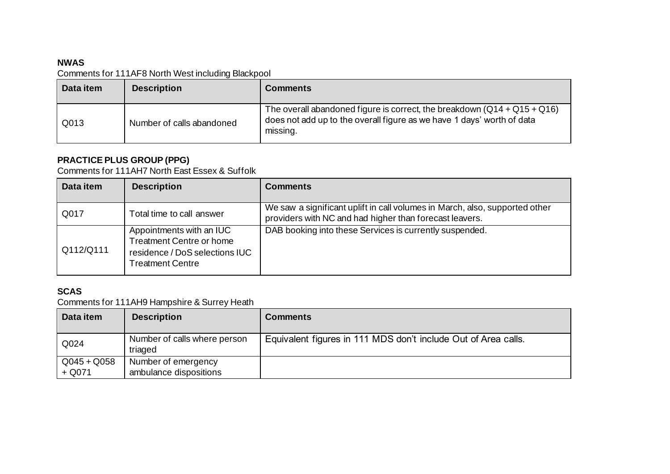### **NWAS**

Comments for 111AF8 North West including Blackpool

| Data item | <b>Description</b>        | <b>Comments</b>                                                                                                                                                  |
|-----------|---------------------------|------------------------------------------------------------------------------------------------------------------------------------------------------------------|
| Q013      | Number of calls abandoned | The overall abandoned figure is correct, the breakdown $(Q14 + Q15 + Q16)$<br>does not add up to the overall figure as we have 1 days' worth of data<br>missing. |

### **PRACTICE PLUS GROUP (PPG)**

Comments for 111AH7 North East Essex & Suffolk

| Data item | <b>Description</b>                                                                                                       | <b>Comments</b>                                                                                                                        |
|-----------|--------------------------------------------------------------------------------------------------------------------------|----------------------------------------------------------------------------------------------------------------------------------------|
| Q017      | Total time to call answer                                                                                                | We saw a significant uplift in call volumes in March, also, supported other<br>providers with NC and had higher than forecast leavers. |
| Q112/Q111 | Appointments with an IUC<br><b>Treatment Centre or home</b><br>residence / DoS selections IUC<br><b>Treatment Centre</b> | DAB booking into these Services is currently suspended.                                                                                |

### **SCAS**

Comments for 111AH9 Hampshire & Surrey Heath

| Data item               | <b>Description</b>                            | <b>Comments</b>                                                |
|-------------------------|-----------------------------------------------|----------------------------------------------------------------|
| Q024                    | Number of calls where person<br>triaged       | Equivalent figures in 111 MDS don't include Out of Area calls. |
| $Q045 + Q058$<br>+ Q071 | Number of emergency<br>ambulance dispositions |                                                                |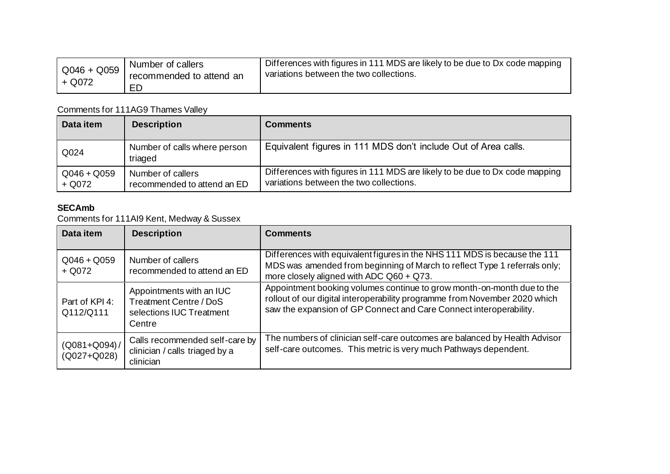| $Q046 + Q059$ | Number of callers<br>recommended to attend an | Differences with figures in 111 MDS are likely to be due to Dx code mapping<br>variations between the two collections. |
|---------------|-----------------------------------------------|------------------------------------------------------------------------------------------------------------------------|
| $+$ Q072      |                                               |                                                                                                                        |

# Comments for 111AG9 Thames Valley

| Data item               | <b>Description</b>                               | <b>Comments</b>                                                                                                        |
|-------------------------|--------------------------------------------------|------------------------------------------------------------------------------------------------------------------------|
| Q024                    | Number of calls where person<br>triaged          | Equivalent figures in 111 MDS don't include Out of Area calls.                                                         |
| $Q046 + Q059$<br>+ Q072 | Number of callers<br>recommended to attend an ED | Differences with figures in 111 MDS are likely to be due to Dx code mapping<br>variations between the two collections. |

### **SECAmb**

Comments for 111AI9 Kent, Medway & Sussex

| Data item                            | <b>Description</b>                                                                       | <b>Comments</b>                                                                                                                                                                                                            |
|--------------------------------------|------------------------------------------------------------------------------------------|----------------------------------------------------------------------------------------------------------------------------------------------------------------------------------------------------------------------------|
| $Q046 + Q059$<br>$+$ Q072            | Number of callers<br>recommended to attend an ED                                         | Differences with equivalent figures in the NHS 111 MDS is because the 111<br>MDS was amended from beginning of March to reflect Type 1 referrals only;<br>more closely aligned with ADC Q60 + Q73.                         |
| Part of KPI 4:<br>Q112/Q111          | Appointments with an IUC<br>Treatment Centre / DoS<br>selections IUC Treatment<br>Centre | Appointment booking volumes continue to grow month-on-month due to the<br>rollout of our digital interoperability programme from November 2020 which<br>saw the expansion of GP Connect and Care Connect interoperability. |
| $(Q081 + Q094) /$<br>$(Q027 + Q028)$ | Calls recommended self-care by<br>clinician / calls triaged by a<br>clinician            | The numbers of clinician self-care outcomes are balanced by Health Advisor<br>self-care outcomes. This metric is very much Pathways dependent.                                                                             |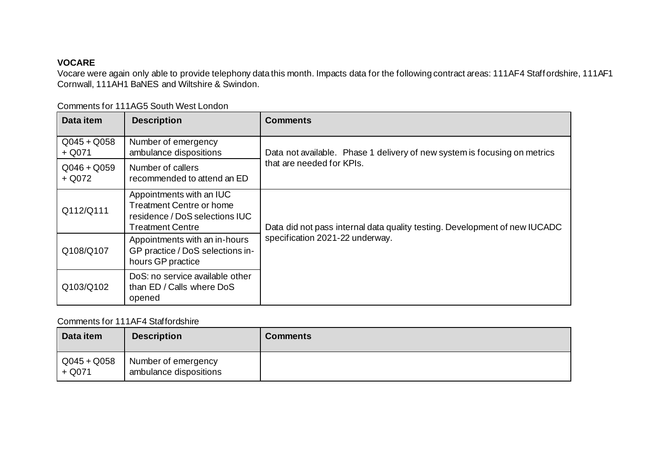### **VOCARE**

Vocare were again only able to provide telephony data this month. Impacts data for the following contract areas: 111AF4 Staffordshire, 111AF1 Cornwall, 111AH1 BaNES and Wiltshire & Swindon.

| Data item                 | <b>Description</b>                                                                                                       | <b>Comments</b>                                                                                               |
|---------------------------|--------------------------------------------------------------------------------------------------------------------------|---------------------------------------------------------------------------------------------------------------|
| $Q045 + Q058$<br>$+$ Q071 | Number of emergency<br>ambulance dispositions                                                                            | Data not available. Phase 1 delivery of new system is focusing on metrics                                     |
| $Q046 + Q059$<br>$+$ Q072 | Number of callers<br>recommended to attend an ED                                                                         | that are needed for KPIs.                                                                                     |
| Q112/Q111                 | Appointments with an IUC<br><b>Treatment Centre or home</b><br>residence / DoS selections IUC<br><b>Treatment Centre</b> | Data did not pass internal data quality testing. Development of new IUCADC<br>specification 2021-22 underway. |
| Q108/Q107                 | Appointments with an in-hours<br>GP practice / DoS selections in-<br>hours GP practice                                   |                                                                                                               |
| Q103/Q102                 | DoS: no service available other<br>than ED / Calls where DoS<br>opened                                                   |                                                                                                               |

Comments for 111AG5 South West London

### Comments for 111AF4 Staffordshire

| Data item                 | <b>Description</b>                            | <b>Comments</b> |
|---------------------------|-----------------------------------------------|-----------------|
| $Q045 + Q058$<br>$+$ Q071 | Number of emergency<br>ambulance dispositions |                 |